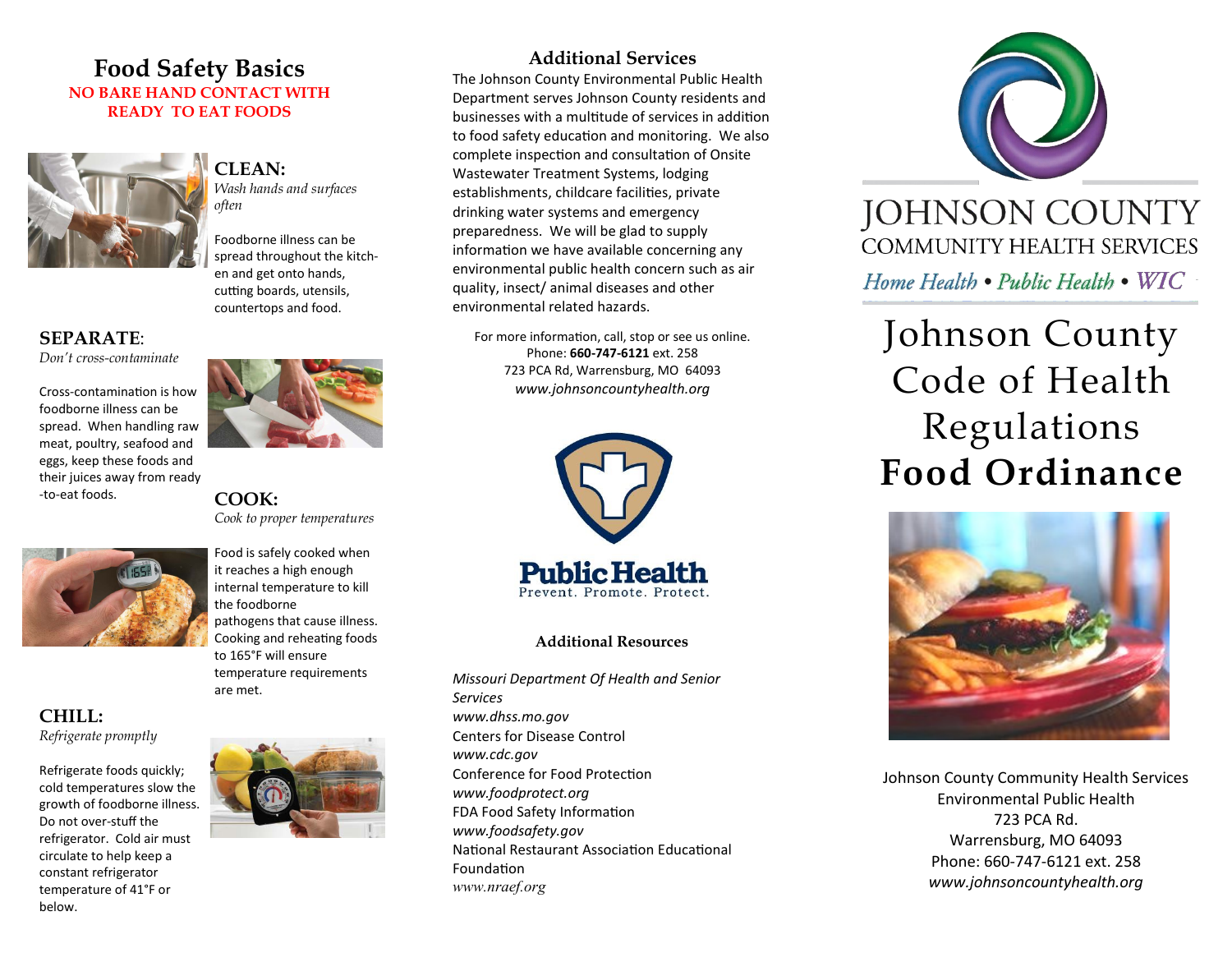# **Food Safety Basics NO BARE HAND CONTACT WITH READY TO EAT FOODS**



**CLEAN:** 

*Wash hands and surfaces often*

Foodborne illness can be spread throughout the kitchen and get onto hands, cutting boards, utensils, countertops and food.

# **SEPARATE**:

*Don't cross-contaminate*

Cross-contamination is how foodborne illness can be spread. When handling raw meat, poultry, seafood and eggs, keep these foods and their juices away from ready -to-eat foods. **COOK:** 



**CHILL:** 

*Refrigerate promptly*

Refrigerate foods quickly; cold temperatures slow the growth of foodborne illness. Do not over-stuff the refrigerator. Cold air must circulate to help keep a constant refrigerator temperature of 41°F or below.



*Cook to proper temperatures*

Food is safely cooked when it reaches a high enough internal temperature to kill the foodborne pathogens that cause illness. Cooking and reheating foods to 165°F will ensure temperature requirements are met.



# **Additional Services**

The Johnson County Environmental Public Health Department serves Johnson County residents and businesses with a multitude of services in addition to food safety education and monitoring. We also complete inspection and consultation of Onsite Wastewater Treatment Systems, lodging establishments, childcare facilities, private drinking water systems and emergency preparedness. We will be glad to supply information we have available concerning any environmental public health concern such as air quality, insect/ animal diseases and other environmental related hazards.

For more information, call, stop or see us online. Phone: **660-747-6121** ext. 258 723 PCA Rd, Warrensburg, MO 64093 *www.johnsoncountyhealth.org*



### **Additional Resources**

*Missouri Department Of Health and Senior Services www.dhss.mo.gov* Centers for Disease Control *www.cdc.gov* Conference for Food Protection *www.foodprotect.org*  FDA Food Safety Information *www.foodsafety.gov* National Restaurant Association Educational Foundation *www.nraef.org*



# Johnson County Code of Health Regulations **Food Ordinance**



Johnson County Community Health Services Environmental Public Health 723 PCA Rd. Warrensburg, MO 64093 Phone: 660-747-6121 ext. 258 *www.johnsoncountyhealth.org*